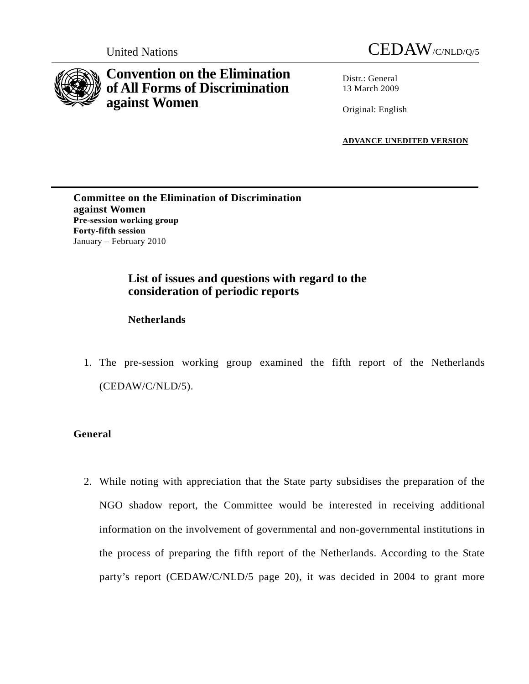



# **Convention on the Elimination of All Forms of Discrimination against Women**

Distr · General 13 March 2009

Original: English

**ADVANCE UNEDITED VERSION**

#### **Committee on the Elimination of Discrimination against Women Pre-session working group Forty-fifth session**  January – February 2010

# **List of issues and questions with regard to the consideration of periodic reports**

# **Netherlands**

1. The pre-session working group examined the fifth report of the Netherlands (CEDAW/C/NLD/5).

## **General**

2. While noting with appreciation that the State party subsidises the preparation of the NGO shadow report, the Committee would be interested in receiving additional information on the involvement of governmental and non-governmental institutions in the process of preparing the fifth report of the Netherlands. According to the State party's report (CEDAW/C/NLD/5 page 20), it was decided in 2004 to grant more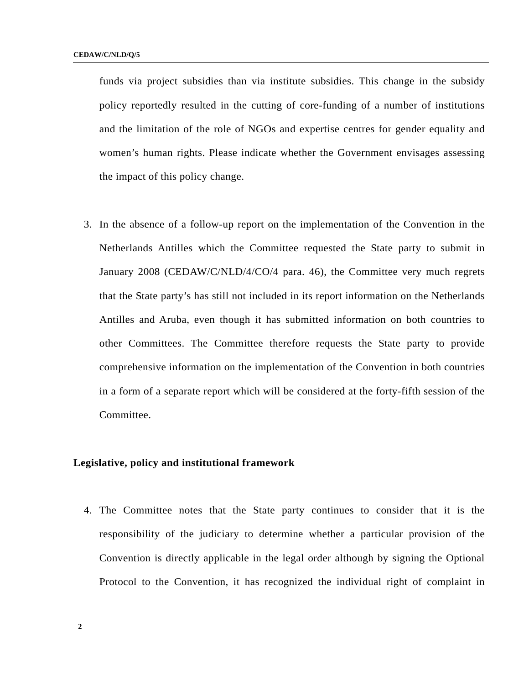funds via project subsidies than via institute subsidies. This change in the subsidy policy reportedly resulted in the cutting of core-funding of a number of institutions and the limitation of the role of NGOs and expertise centres for gender equality and women's human rights. Please indicate whether the Government envisages assessing the impact of this policy change.

3. In the absence of a follow-up report on the implementation of the Convention in the Netherlands Antilles which the Committee requested the State party to submit in January 2008 (CEDAW/C/NLD/4/CO/4 para. 46), the Committee very much regrets that the State party's has still not included in its report information on the Netherlands Antilles and Aruba, even though it has submitted information on both countries to other Committees. The Committee therefore requests the State party to provide comprehensive information on the implementation of the Convention in both countries in a form of a separate report which will be considered at the forty-fifth session of the Committee.

#### **Legislative, policy and institutional framework**

4. The Committee notes that the State party continues to consider that it is the responsibility of the judiciary to determine whether a particular provision of the Convention is directly applicable in the legal order although by signing the Optional Protocol to the Convention, it has recognized the individual right of complaint in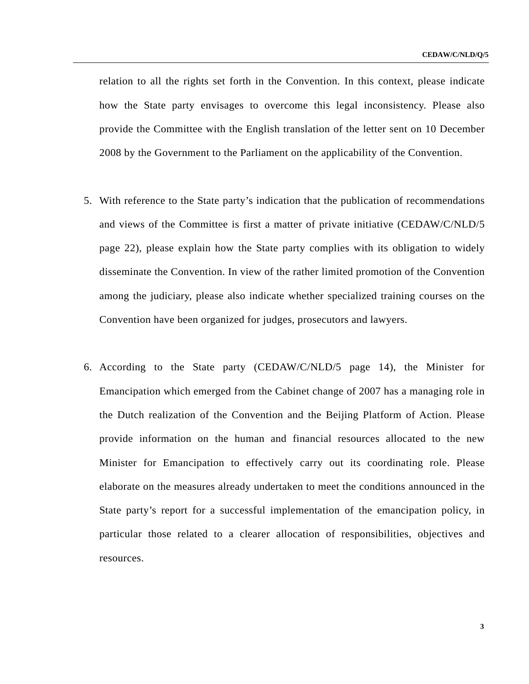relation to all the rights set forth in the Convention. In this context, please indicate how the State party envisages to overcome this legal inconsistency. Please also provide the Committee with the English translation of the letter sent on 10 December 2008 by the Government to the Parliament on the applicability of the Convention.

- 5. With reference to the State party's indication that the publication of recommendations and views of the Committee is first a matter of private initiative (CEDAW/C/NLD/5 page 22), please explain how the State party complies with its obligation to widely disseminate the Convention. In view of the rather limited promotion of the Convention among the judiciary, please also indicate whether specialized training courses on the Convention have been organized for judges, prosecutors and lawyers.
- 6. According to the State party (CEDAW/C/NLD/5 page 14), the Minister for Emancipation which emerged from the Cabinet change of 2007 has a managing role in the Dutch realization of the Convention and the Beijing Platform of Action. Please provide information on the human and financial resources allocated to the new Minister for Emancipation to effectively carry out its coordinating role. Please elaborate on the measures already undertaken to meet the conditions announced in the State party's report for a successful implementation of the emancipation policy, in particular those related to a clearer allocation of responsibilities, objectives and resources.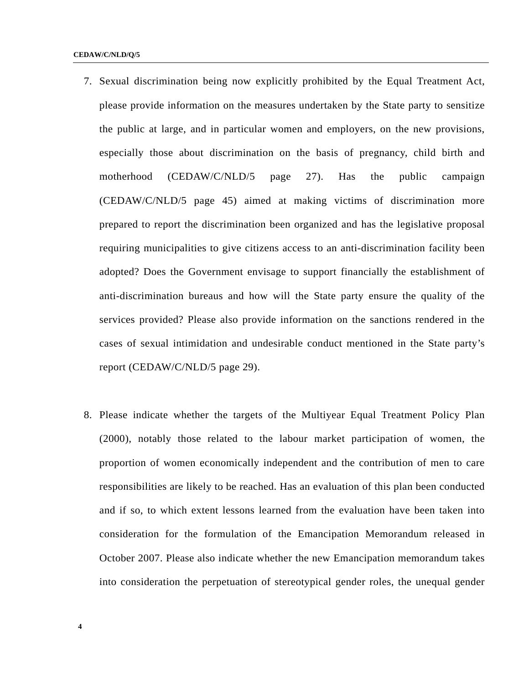- 7. Sexual discrimination being now explicitly prohibited by the Equal Treatment Act, please provide information on the measures undertaken by the State party to sensitize the public at large, and in particular women and employers, on the new provisions, especially those about discrimination on the basis of pregnancy, child birth and motherhood (CEDAW/C/NLD/5 page 27). Has the public campaign (CEDAW/C/NLD/5 page 45) aimed at making victims of discrimination more prepared to report the discrimination been organized and has the legislative proposal requiring municipalities to give citizens access to an anti-discrimination facility been adopted? Does the Government envisage to support financially the establishment of anti-discrimination bureaus and how will the State party ensure the quality of the services provided? Please also provide information on the sanctions rendered in the cases of sexual intimidation and undesirable conduct mentioned in the State party's report (CEDAW/C/NLD/5 page 29).
- 8. Please indicate whether the targets of the Multiyear Equal Treatment Policy Plan (2000), notably those related to the labour market participation of women, the proportion of women economically independent and the contribution of men to care responsibilities are likely to be reached. Has an evaluation of this plan been conducted and if so, to which extent lessons learned from the evaluation have been taken into consideration for the formulation of the Emancipation Memorandum released in October 2007. Please also indicate whether the new Emancipation memorandum takes into consideration the perpetuation of stereotypical gender roles, the unequal gender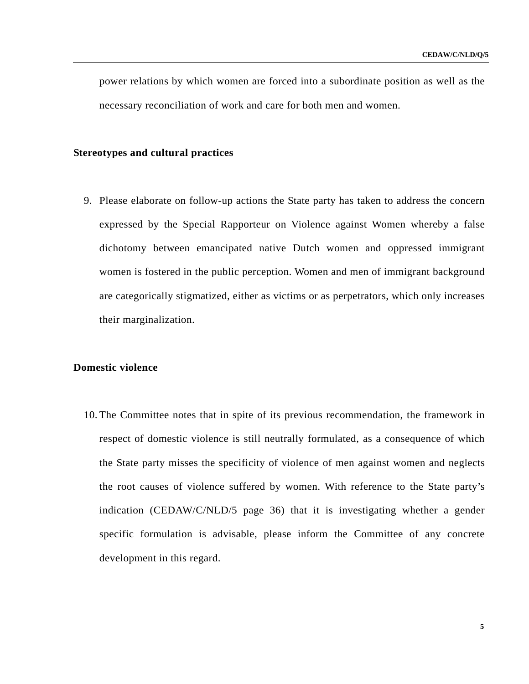power relations by which women are forced into a subordinate position as well as the necessary reconciliation of work and care for both men and women.

#### **Stereotypes and cultural practices**

9. Please elaborate on follow-up actions the State party has taken to address the concern expressed by the Special Rapporteur on Violence against Women whereby a false dichotomy between emancipated native Dutch women and oppressed immigrant women is fostered in the public perception. Women and men of immigrant background are categorically stigmatized, either as victims or as perpetrators, which only increases their marginalization.

#### **Domestic violence**

10. The Committee notes that in spite of its previous recommendation, the framework in respect of domestic violence is still neutrally formulated, as a consequence of which the State party misses the specificity of violence of men against women and neglects the root causes of violence suffered by women. With reference to the State party's indication (CEDAW/C/NLD/5 page 36) that it is investigating whether a gender specific formulation is advisable, please inform the Committee of any concrete development in this regard.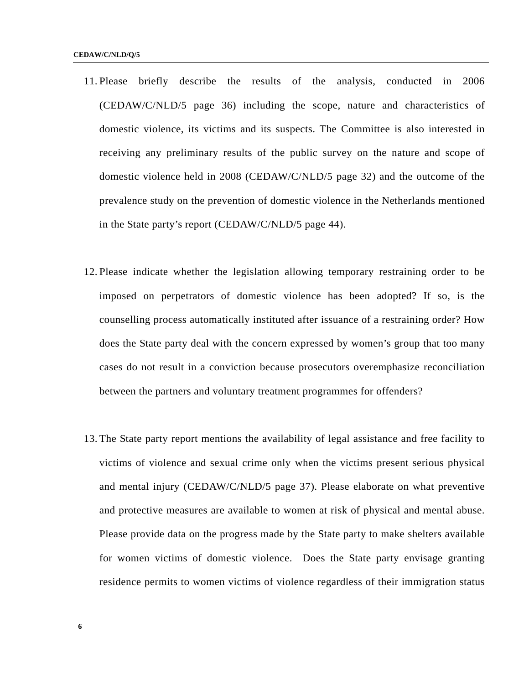- 11. Please briefly describe the results of the analysis, conducted in 2006 (CEDAW/C/NLD/5 page 36) including the scope, nature and characteristics of domestic violence, its victims and its suspects. The Committee is also interested in receiving any preliminary results of the public survey on the nature and scope of domestic violence held in 2008 (CEDAW/C/NLD/5 page 32) and the outcome of the prevalence study on the prevention of domestic violence in the Netherlands mentioned in the State party's report (CEDAW/C/NLD/5 page 44).
- 12. Please indicate whether the legislation allowing temporary restraining order to be imposed on perpetrators of domestic violence has been adopted? If so, is the counselling process automatically instituted after issuance of a restraining order? How does the State party deal with the concern expressed by women's group that too many cases do not result in a conviction because prosecutors overemphasize reconciliation between the partners and voluntary treatment programmes for offenders?
- 13. The State party report mentions the availability of legal assistance and free facility to victims of violence and sexual crime only when the victims present serious physical and mental injury (CEDAW/C/NLD/5 page 37). Please elaborate on what preventive and protective measures are available to women at risk of physical and mental abuse. Please provide data on the progress made by the State party to make shelters available for women victims of domestic violence. Does the State party envisage granting residence permits to women victims of violence regardless of their immigration status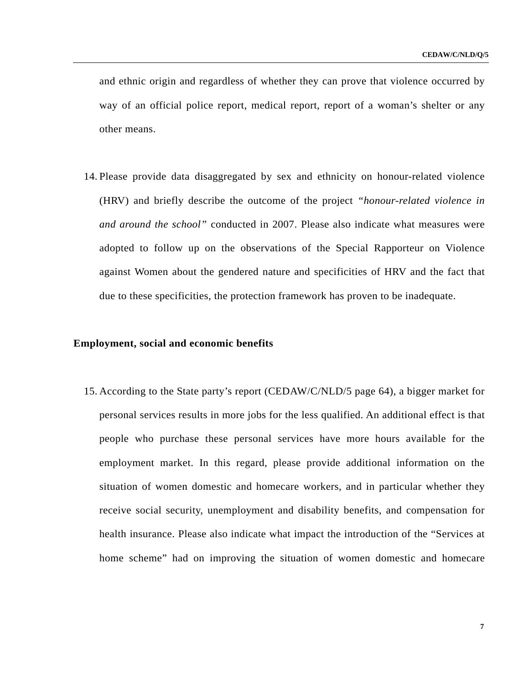and ethnic origin and regardless of whether they can prove that violence occurred by way of an official police report, medical report, report of a woman's shelter or any other means.

14. Please provide data disaggregated by sex and ethnicity on honour-related violence (HRV) and briefly describe the outcome of the project *"honour-related violence in and around the school"* conducted in 2007. Please also indicate what measures were adopted to follow up on the observations of the Special Rapporteur on Violence against Women about the gendered nature and specificities of HRV and the fact that due to these specificities, the protection framework has proven to be inadequate.

#### **Employment, social and economic benefits**

15. According to the State party's report (CEDAW/C/NLD/5 page 64), a bigger market for personal services results in more jobs for the less qualified. An additional effect is that people who purchase these personal services have more hours available for the employment market. In this regard, please provide additional information on the situation of women domestic and homecare workers, and in particular whether they receive social security, unemployment and disability benefits, and compensation for health insurance. Please also indicate what impact the introduction of the "Services at home scheme" had on improving the situation of women domestic and homecare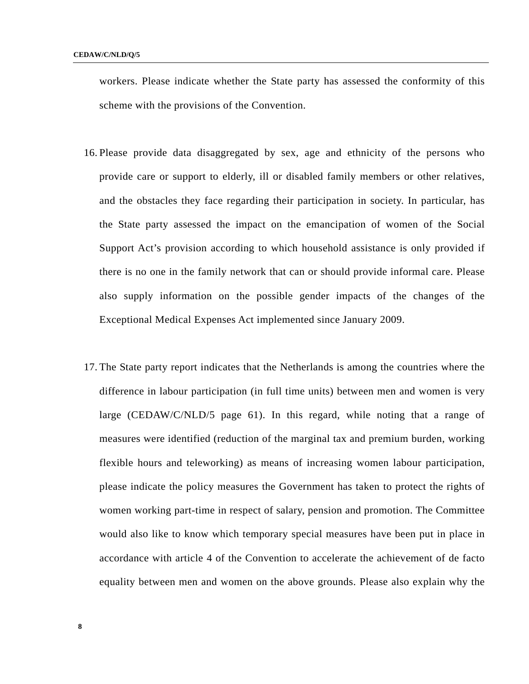workers. Please indicate whether the State party has assessed the conformity of this scheme with the provisions of the Convention.

- 16. Please provide data disaggregated by sex, age and ethnicity of the persons who provide care or support to elderly, ill or disabled family members or other relatives, and the obstacles they face regarding their participation in society. In particular, has the State party assessed the impact on the emancipation of women of the Social Support Act's provision according to which household assistance is only provided if there is no one in the family network that can or should provide informal care. Please also supply information on the possible gender impacts of the changes of the Exceptional Medical Expenses Act implemented since January 2009.
- 17. The State party report indicates that the Netherlands is among the countries where the difference in labour participation (in full time units) between men and women is very large (CEDAW/C/NLD/5 page 61). In this regard, while noting that a range of measures were identified (reduction of the marginal tax and premium burden, working flexible hours and teleworking) as means of increasing women labour participation, please indicate the policy measures the Government has taken to protect the rights of women working part-time in respect of salary, pension and promotion. The Committee would also like to know which temporary special measures have been put in place in accordance with article 4 of the Convention to accelerate the achievement of de facto equality between men and women on the above grounds. Please also explain why the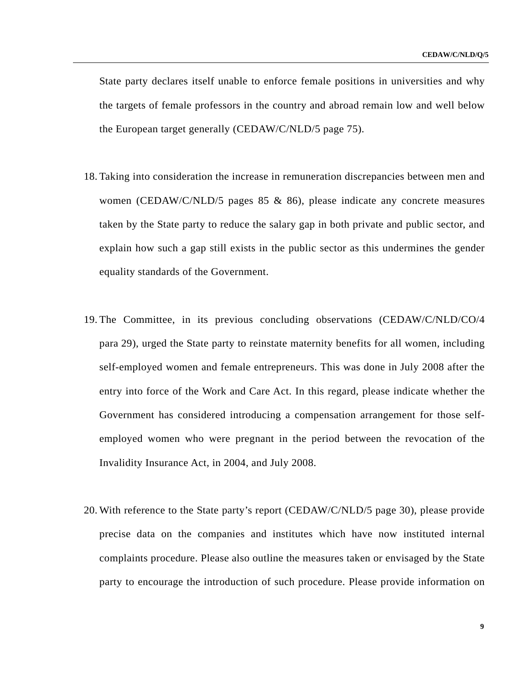State party declares itself unable to enforce female positions in universities and why the targets of female professors in the country and abroad remain low and well below the European target generally (CEDAW/C/NLD/5 page 75).

- 18. Taking into consideration the increase in remuneration discrepancies between men and women (CEDAW/C/NLD/5 pages 85 & 86), please indicate any concrete measures taken by the State party to reduce the salary gap in both private and public sector, and explain how such a gap still exists in the public sector as this undermines the gender equality standards of the Government.
- 19. The Committee, in its previous concluding observations (CEDAW/C/NLD/CO/4 para 29), urged the State party to reinstate maternity benefits for all women, including self-employed women and female entrepreneurs. This was done in July 2008 after the entry into force of the Work and Care Act. In this regard, please indicate whether the Government has considered introducing a compensation arrangement for those selfemployed women who were pregnant in the period between the revocation of the Invalidity Insurance Act, in 2004, and July 2008.
- 20. With reference to the State party's report (CEDAW/C/NLD/5 page 30), please provide precise data on the companies and institutes which have now instituted internal complaints procedure. Please also outline the measures taken or envisaged by the State party to encourage the introduction of such procedure. Please provide information on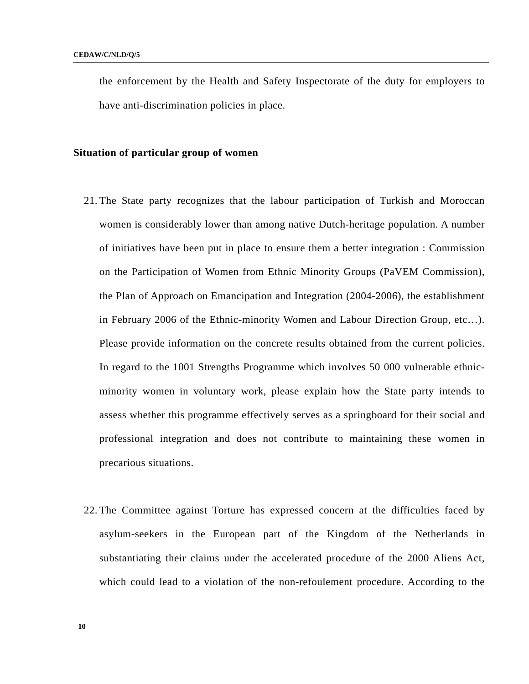the enforcement by the Health and Safety Inspectorate of the duty for employers to have anti-discrimination policies in place.

#### **Situation of particular group of women**

- 21. The State party recognizes that the labour participation of Turkish and Moroccan women is considerably lower than among native Dutch-heritage population. A number of initiatives have been put in place to ensure them a better integration : Commission on the Participation of Women from Ethnic Minority Groups (PaVEM Commission), the Plan of Approach on Emancipation and Integration (2004-2006), the establishment in February 2006 of the Ethnic-minority Women and Labour Direction Group, etc…). Please provide information on the concrete results obtained from the current policies. In regard to the 1001 Strengths Programme which involves 50 000 vulnerable ethnicminority women in voluntary work, please explain how the State party intends to assess whether this programme effectively serves as a springboard for their social and professional integration and does not contribute to maintaining these women in precarious situations.
- 22. The Committee against Torture has expressed concern at the difficulties faced by asylum-seekers in the European part of the Kingdom of the Netherlands in substantiating their claims under the accelerated procedure of the 2000 Aliens Act, which could lead to a violation of the non-refoulement procedure. According to the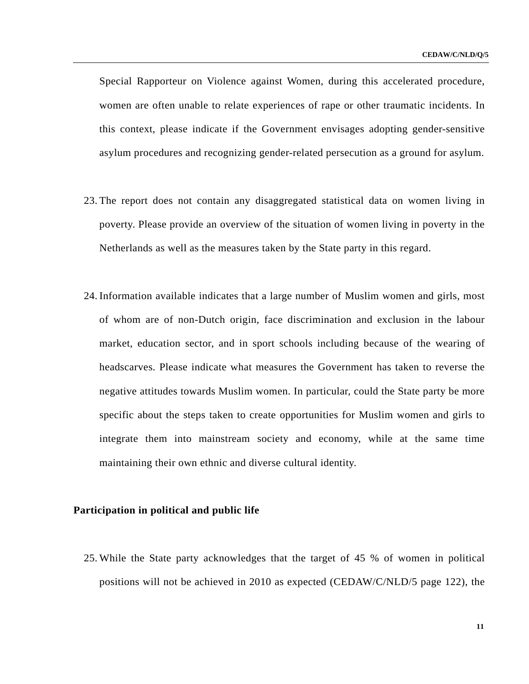Special Rapporteur on Violence against Women, during this accelerated procedure, women are often unable to relate experiences of rape or other traumatic incidents. In this context, please indicate if the Government envisages adopting gender-sensitive asylum procedures and recognizing gender-related persecution as a ground for asylum.

- 23. The report does not contain any disaggregated statistical data on women living in poverty. Please provide an overview of the situation of women living in poverty in the Netherlands as well as the measures taken by the State party in this regard.
- 24. Information available indicates that a large number of Muslim women and girls, most of whom are of non-Dutch origin, face discrimination and exclusion in the labour market, education sector, and in sport schools including because of the wearing of headscarves. Please indicate what measures the Government has taken to reverse the negative attitudes towards Muslim women. In particular, could the State party be more specific about the steps taken to create opportunities for Muslim women and girls to integrate them into mainstream society and economy, while at the same time maintaining their own ethnic and diverse cultural identity.

#### **Participation in political and public life**

25. While the State party acknowledges that the target of 45 % of women in political positions will not be achieved in 2010 as expected (CEDAW/C/NLD/5 page 122), the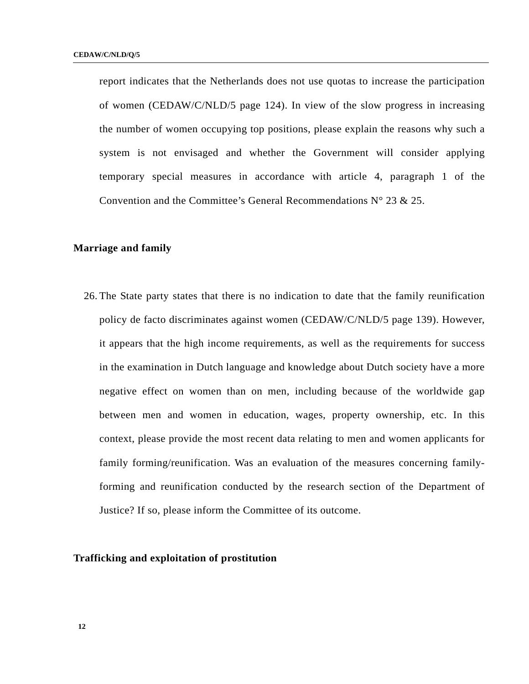report indicates that the Netherlands does not use quotas to increase the participation of women (CEDAW/C/NLD/5 page 124). In view of the slow progress in increasing the number of women occupying top positions, please explain the reasons why such a system is not envisaged and whether the Government will consider applying temporary special measures in accordance with article 4, paragraph 1 of the Convention and the Committee's General Recommendations  $N^{\circ}$  23 & 25.

## **Marriage and family**

26. The State party states that there is no indication to date that the family reunification policy de facto discriminates against women (CEDAW/C/NLD/5 page 139). However, it appears that the high income requirements, as well as the requirements for success in the examination in Dutch language and knowledge about Dutch society have a more negative effect on women than on men, including because of the worldwide gap between men and women in education, wages, property ownership, etc. In this context, please provide the most recent data relating to men and women applicants for family forming/reunification. Was an evaluation of the measures concerning familyforming and reunification conducted by the research section of the Department of Justice? If so, please inform the Committee of its outcome.

#### **Trafficking and exploitation of prostitution**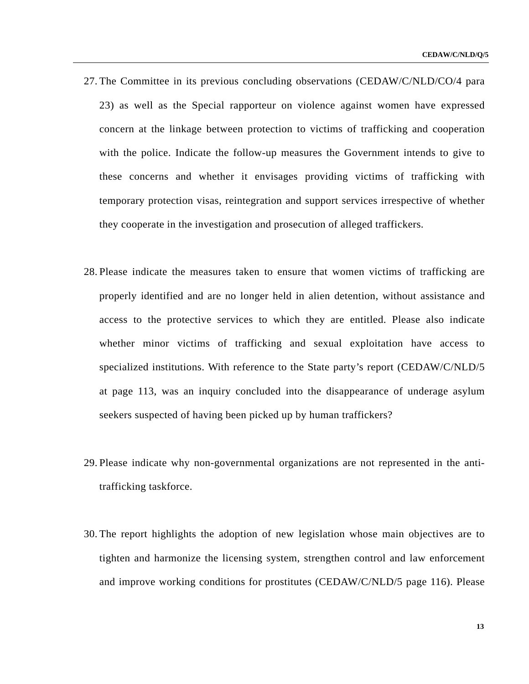- 27. The Committee in its previous concluding observations (CEDAW/C/NLD/CO/4 para 23) as well as the Special rapporteur on violence against women have expressed concern at the linkage between protection to victims of trafficking and cooperation with the police. Indicate the follow-up measures the Government intends to give to these concerns and whether it envisages providing victims of trafficking with temporary protection visas, reintegration and support services irrespective of whether they cooperate in the investigation and prosecution of alleged traffickers.
- 28. Please indicate the measures taken to ensure that women victims of trafficking are properly identified and are no longer held in alien detention, without assistance and access to the protective services to which they are entitled. Please also indicate whether minor victims of trafficking and sexual exploitation have access to specialized institutions. With reference to the State party's report (CEDAW/C/NLD/5 at page 113, was an inquiry concluded into the disappearance of underage asylum seekers suspected of having been picked up by human traffickers?
- 29. Please indicate why non-governmental organizations are not represented in the antitrafficking taskforce.
- 30. The report highlights the adoption of new legislation whose main objectives are to tighten and harmonize the licensing system, strengthen control and law enforcement and improve working conditions for prostitutes (CEDAW/C/NLD/5 page 116). Please